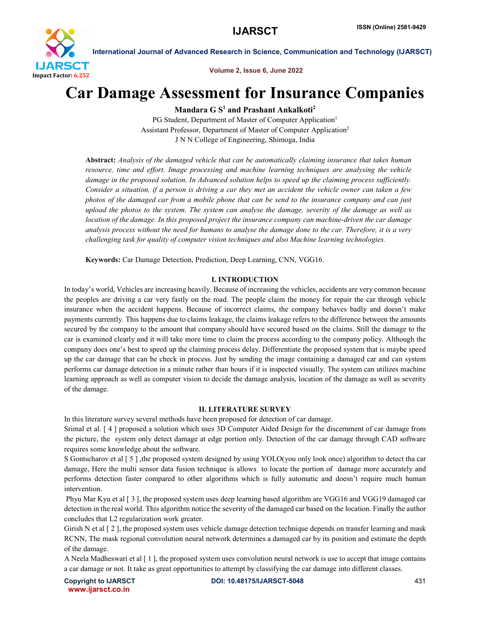

Volume 2, Issue 6, June 2022

# Car Damage Assessment for Insurance Companies

Mandara  $G S<sup>1</sup>$  and Prashant Ankalkoti<sup>2</sup>

PG Student, Department of Master of Computer Application<sup>1</sup> Assistant Professor, Department of Master of Computer Application2 J N N College of Engineering, Shimoga, India

Abstract: *Analysis of the damaged vehicle that can be automatically claiming insurance that takes human resource, time and effort. Image processing and machine learning techniques are analysing the vehicle damage in the proposed solution. In Advanced solution helps to speed up the claiming process sufficiently. Consider a situation, if a person is driving a car they met an accident the vehicle owner can taken a few photos of the damaged car from a mobile phone that can be send to the insurance company and can just upload the photos to the system. The system can analyse the damage, severity of the damage as well as location of the damage. In this proposed project the insurance company can machine-driven the car damage analysis process without the need for humans to analyse the damage done to the car. Therefore, it is a very challenging task for quality of computer vision techniques and also Machine learning technologies.*

Keywords: Car Damage Detection, Prediction, Deep Learning, CNN, VGG16.

### I. INTRODUCTION

In today's world, Vehicles are increasing heavily. Because of increasing the vehicles, accidents are very common because the peoples are driving a car very fastly on the road. The people claim the money for repair the car through vehicle insurance when the accident happens. Because of incorrect claims, the company behaves badly and doesn't make payments currently. This happens due to claims leakage, the claims leakage refers to the difference between the amounts secured by the company to the amount that company should have secured based on the claims. Still the damage to the car is examined clearly and it will take more time to claim the process according to the company policy. Although the company does one's best to speed up the claiming process delay. Differentiate the proposed system that is maybe speed up the car damage that can be check in process. Just by sending the image containing a damaged car and can system performs car damage detection in a minute rather than hours if it is inspected visually. The system can utilizes machine learning approach as well as computer vision to decide the damage analysis, location of the damage as well as severity of the damage.

# II. LITERATURE SURVEY

In this literature survey several methods have been proposed for detection of car damage.

Srimal et al. [ 4 ] proposed a solution which uses 3D Computer Aided Design for the discernment of car damage from the picture, the system only detect damage at edge portion only. Detection of the car damage through CAD software requires some knowledge about the software.

S Gontscharov et al [ 5 ] ,the proposed system designed by using YOLO(you only look once) algorithm to detect tha car damage, Here the multi sensor data fusion technique is allows to locate the portion of damage more accurately and performs detection faster compared to other algorithms which is fully automatic and doesn't require much human intervention.

Phyu Mar Kyu et al [ 3 ], the proposed system uses deep learning based algorithm are VGG16 and VGG19 damaged car detection in the real world. This algorithm notice the severity of the damaged car based on the location. Finally the author concludes that L2 regularization work greater.

Girish N et al [2], the proposed system uses vehicle damage detection technique depends on transfer learning and mask RCNN, The mask regional convolution neural network determines a damaged car by its position and estimate the depth of the damage.

A Neela Madheswari et al [ 1 ], the proposed system uses convolution neural network is use to accept that image contains a car damage or not. It take as great opportunities to attempt by classifying the car damage into different classes.

www.ijarsct.co.in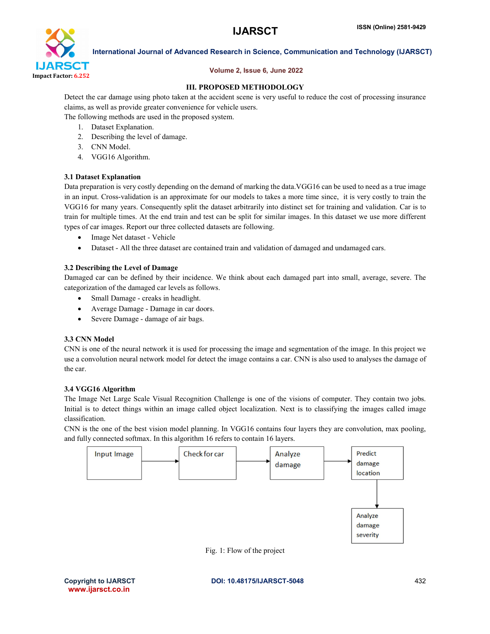

### Volume 2, Issue 6, June 2022

# III. PROPOSED METHODOLOGY

Detect the car damage using photo taken at the accident scene is very useful to reduce the cost of processing insurance claims, as well as provide greater convenience for vehicle users.

The following methods are used in the proposed system.

- 1. Dataset Explanation.
- 2. Describing the level of damage.
- 3. CNN Model.
- 4. VGG16 Algorithm.

### 3.1 Dataset Explanation

Data preparation is very costly depending on the demand of marking the data.VGG16 can be used to need as a true image in an input. Cross-validation is an approximate for our models to takes a more time since, it is very costly to train the VGG16 for many years. Consequently split the dataset arbitrarily into distinct set for training and validation. Car is to train for multiple times. At the end train and test can be split for similar images. In this dataset we use more different types of car images. Report our three collected datasets are following.

- Image Net dataset Vehicle
- Dataset All the three dataset are contained train and validation of damaged and undamaged cars.

# 3.2 Describing the Level of Damage

Damaged car can be defined by their incidence. We think about each damaged part into small, average, severe. The categorization of the damaged car levels as follows.

- Small Damage creaks in headlight.
- Average Damage Damage in car doors.
- Severe Damage damage of air bags.

### 3.3 CNN Model

CNN is one of the neural network it is used for processing the image and segmentation of the image. In this project we use a convolution neural network model for detect the image contains a car. CNN is also used to analyses the damage of the car.

### 3.4 VGG16 Algorithm

The Image Net Large Scale Visual Recognition Challenge is one of the visions of computer. They contain two jobs. Initial is to detect things within an image called object localization. Next is to classifying the images called image classification.

CNN is the one of the best vision model planning. In VGG16 contains four layers they are convolution, max pooling, and fully connected softmax. In this algorithm 16 refers to contain 16 layers.



Fig. 1: Flow of the project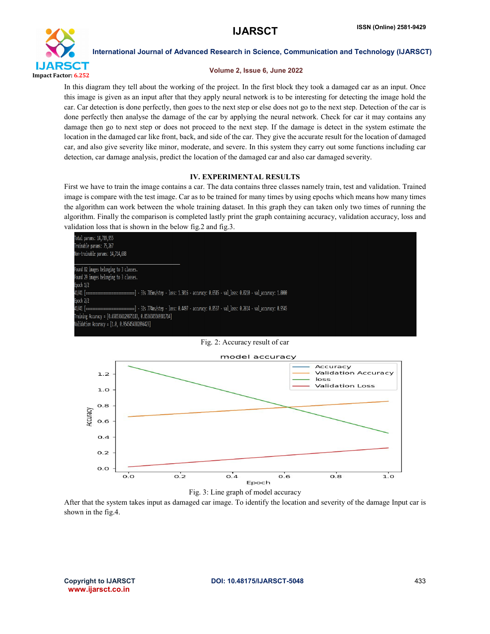

#### Volume 2, Issue 6, June 2022

In this diagram they tell about the working of the project. In the first block they took a damaged car as an input. Once this image is given as an input after that they apply neural network is to be interesting for detecting the image hold the car. Car detection is done perfectly, then goes to the next step or else does not go to the next step. Detection of the car is done perfectly then analyse the damage of the car by applying the neural network. Check for car it may contains any damage then go to next step or does not proceed to the next step. If the damage is detect in the system estimate the location in the damaged car like front, back, and side of the car. They give the accurate result for the location of damaged car, and also give severity like minor, moderate, and severe. In this system they carry out some functions including car detection, car damage analysis, predict the location of the damaged car and also car damaged severity.

### IV. EXPERIMENTAL RESULTS

First we have to train the image contains a car. The data contains three classes namely train, test and validation. Trained image is compare with the test image. Car as to be trained for many times by using epochs which means how many times the algorithm can work between the whole training dataset. In this graph they can taken only two times of running the algorithm. Finally the comparison is completed lastly print the graph containing accuracy, validation accuracy, loss and validation loss that is shown in the below fig.2 and fig.3.



Fig. 2: Accuracy result of car



Fig. 3: Line graph of model accuracy

After that the system takes input as damaged car image. To identify the location and severity of the damage Input car is shown in the fig.4.

www.ijarsct.co.in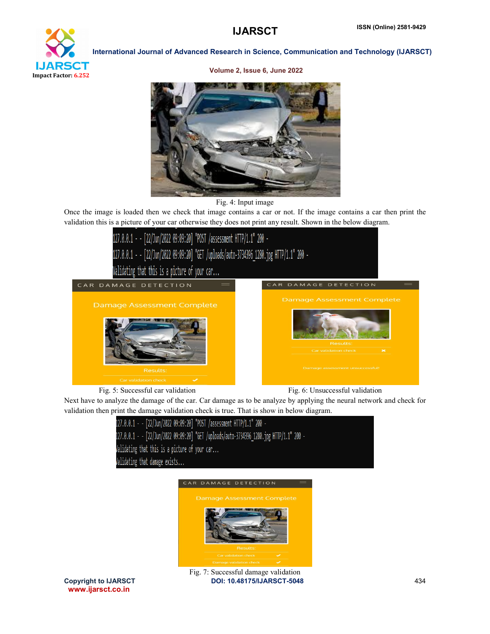

Volume 2, Issue 6, June 2022





Once the image is loaded then we check that image contains a car or not. If the image contains a car then print the validation this is a picture of your car otherwise they does not print any result. Shown in the below diagram.



Fig. 5: Successful car validation Fig. 6: Unsuccessful validation

Next have to analyze the damage of the car. Car damage as to be analyze by applying the neural network and check for validation then print the damage validation check is true. That is show in below diagram.





www.ijarsct.co.in

Copyright to IJARSCT **DOI: 10.48175/IJARSCT-5048** 434 Fig. 7: Successful damage validation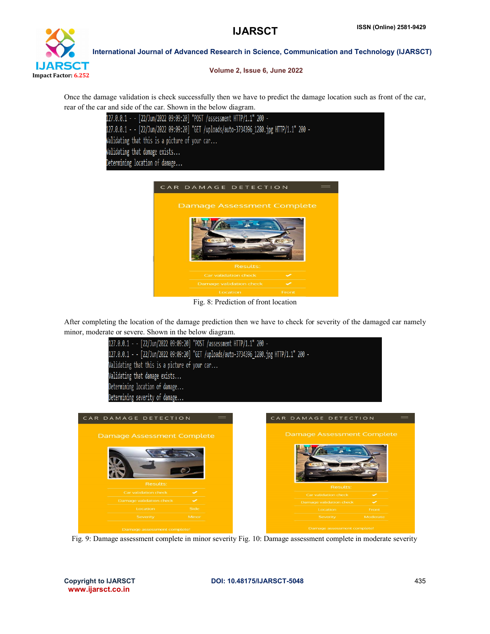

Volume 2, Issue 6, June 2022

Once the damage validation is check successfully then we have to predict the damage location such as front of the car, rear of the car and side of the car. Shown in the below diagram.

| 127.0.0.1 - - [22/Jun/2022 09:09:20] "POST /assessment HTTP/1.1" 200 -                   |
|------------------------------------------------------------------------------------------|
| 127.0.0.1 - - [22/Jun/2022 09:09:20] "GET /uploads/auto-3734396 1280.jpg HTTP/1.1" 200 - |
| Validating that this is a picture of your car                                            |
| Validating that damage exists                                                            |
| Determining location of damage                                                           |



Fig. 8: Prediction of front location

After completing the location of the damage prediction then we have to check for severity of the damaged car namely minor, moderate or severe. Shown in the below diagram.



Fig. 9: Damage assessment complete in minor severity Fig. 10: Damage assessment complete in moderate severity

www.ijarsct.co.in